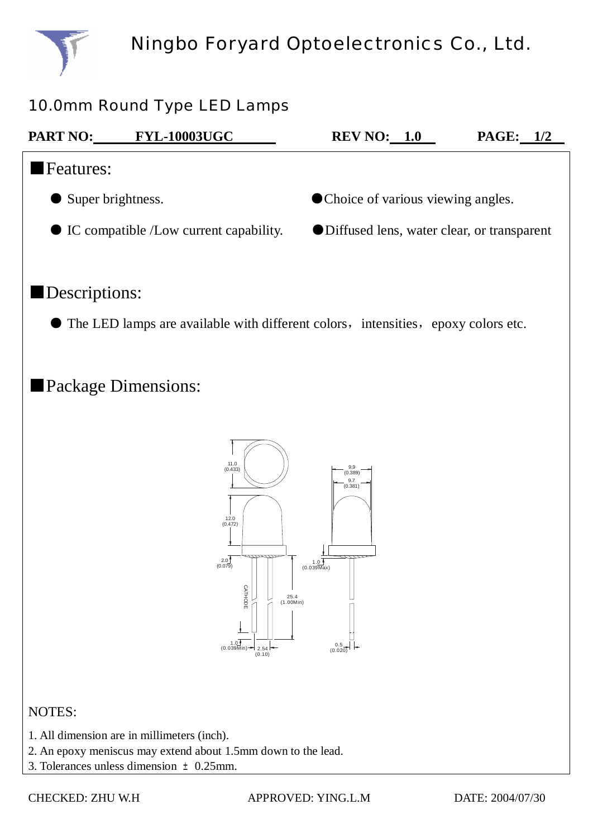

## 10.0mm Round Type LED Lamps

| <b>PART NO:</b>                                  | <b>FYL-10003UGC</b> | <b>REV NO:</b> 1.0                           | PAGE:<br>1/2 |  |  |
|--------------------------------------------------|---------------------|----------------------------------------------|--------------|--|--|
| <b>Features:</b>                                 |                     |                                              |              |  |  |
| Super brightness.                                |                     | • Choice of various viewing angles.          |              |  |  |
| $\bullet$ IC compatible /Low current capability. |                     | ● Diffused lens, water clear, or transparent |              |  |  |
|                                                  |                     |                                              |              |  |  |

### ■Descriptions:

 $\bullet$  The LED lamps are available with different colors, intensities, epoxy colors etc.

# ■Package Dimensions:



#### NOTES:

- 1. All dimension are in millimeters (inch).
- 2. An epoxy meniscus may extend about 1.5mm down to the lead.
- 3. Tolerances unless dimension  $\pm 0.25$ mm.